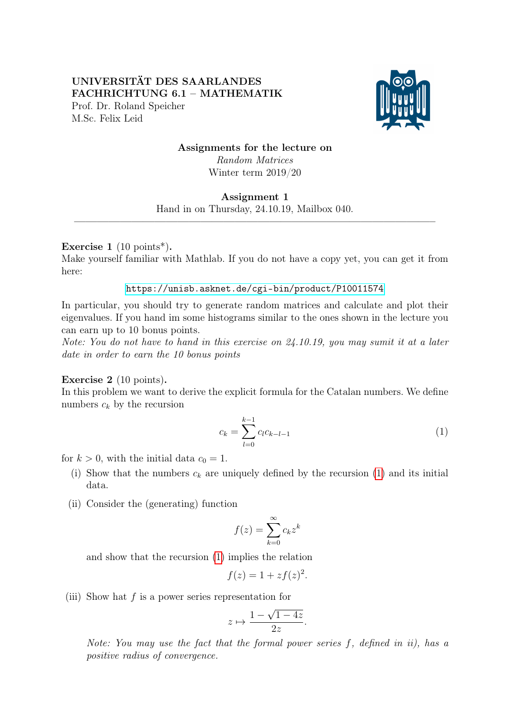## UNIVERSITÄT DES SAARLANDES FACHRICHTUNG 6.1 – MATHEMATIK Prof. Dr. Roland Speicher M.Sc. Felix Leid



# Assignments for the lecture on Random Matrices Winter term 2019/20

#### Assignment 1

Hand in on Thursday, 24.10.19, Mailbox 040.  $\frac{1}{\sqrt{2}}$  , and the contribution of  $\frac{1}{\sqrt{2}}$  , and  $\frac{1}{\sqrt{2}}$  , and  $\frac{1}{\sqrt{2}}$  , and  $\frac{1}{\sqrt{2}}$  , and  $\frac{1}{\sqrt{2}}$  , and  $\frac{1}{\sqrt{2}}$  , and  $\frac{1}{\sqrt{2}}$  , and  $\frac{1}{\sqrt{2}}$  , and  $\frac{1}{\sqrt{2}}$  , and  $\frac{1}{\sqrt{2}}$ 

## Exercise 1  $(10 \text{ points}^*)$ .

Make yourself familiar with Mathlab. If you do not have a copy yet, you can get it from here:

#### <https://unisb.asknet.de/cgi-bin/product/P10011574>

In particular, you should try to generate random matrices and calculate and plot their eigenvalues. If you hand im some histograms similar to the ones shown in the lecture you can earn up to 10 bonus points.

Note: You do not have to hand in this exercise on 24.10.19, you may sumit it at a later date in order to earn the 10 bonus points

## Exercise 2 (10 points).

In this problem we want to derive the explicit formula for the Catalan numbers. We define numbers  $c_k$  by the recursion

<span id="page-0-0"></span>
$$
c_k = \sum_{l=0}^{k-1} c_l c_{k-l-1} \tag{1}
$$

for  $k > 0$ , with the initial data  $c_0 = 1$ .

- (i) Show that the numbers  $c_k$  are uniquely defined by the recursion [\(1\)](#page-0-0) and its initial data.
- (ii) Consider the (generating) function

$$
f(z) = \sum_{k=0}^{\infty} c_k z^k
$$

and show that the recursion [\(1\)](#page-0-0) implies the relation

$$
f(z) = 1 + z f(z)^2.
$$

(iii) Show hat  $f$  is a power series representation for

$$
z \mapsto \frac{1 - \sqrt{1 - 4z}}{2z}.
$$

Note: You may use the fact that the formal power series f, defined in ii), has a positive radius of convergence.